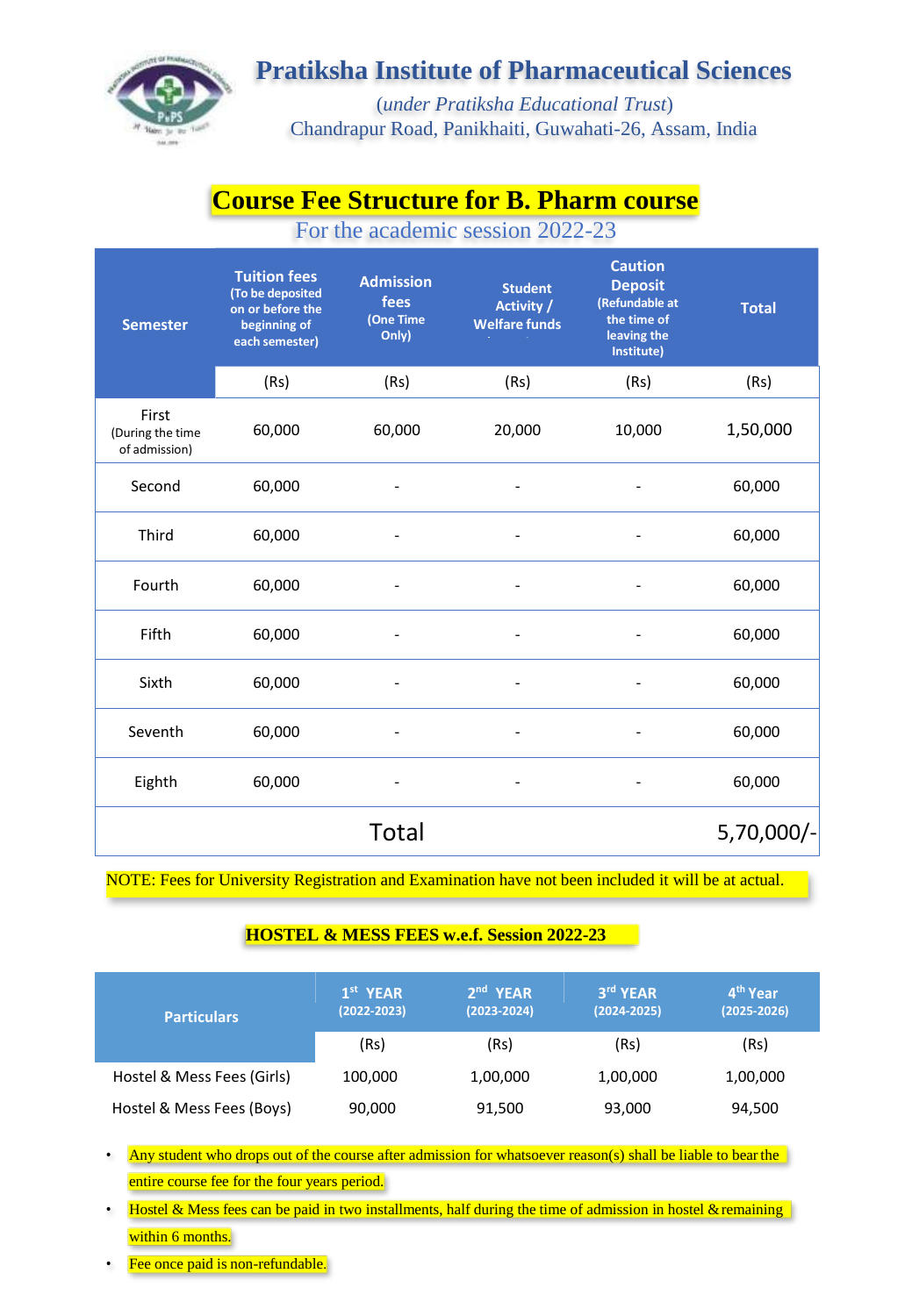

### **Pratiksha Institute of Pharmaceutical Sciences**

(*under Pratiksha Educational Trust*) Chandrapur Road, Panikhaiti, Guwahati-26, Assam, India

# **Course Fee Structure for B. Pharm course**

For the academic session 2022-23

| <b>Semester</b>                            | <b>Tuition fees</b><br>(To be deposited<br>on or before the<br>beginning of<br>each semester) | <b>Admission</b><br>fees<br>(One Time<br>Only) | <b>Student</b><br>Activity /<br><b>Welfare funds</b> | <b>Caution</b><br><b>Deposit</b><br>(Refundable at<br>the time of<br>leaving the<br>Institute) | <b>Total</b> |
|--------------------------------------------|-----------------------------------------------------------------------------------------------|------------------------------------------------|------------------------------------------------------|------------------------------------------------------------------------------------------------|--------------|
|                                            | (Rs)                                                                                          | (Rs)                                           | (Rs)                                                 | (Rs)                                                                                           | (Rs)         |
| First<br>(During the time<br>of admission) | 60,000                                                                                        | 60,000                                         | 20,000                                               | 10,000                                                                                         | 1,50,000     |
| Second                                     | 60,000                                                                                        |                                                | $\overline{\phantom{a}}$                             |                                                                                                | 60,000       |
| Third                                      | 60,000                                                                                        |                                                | $\overline{\phantom{a}}$                             |                                                                                                | 60,000       |
| Fourth                                     | 60,000                                                                                        |                                                | $\overline{\phantom{a}}$                             |                                                                                                | 60,000       |
| Fifth                                      | 60,000                                                                                        |                                                |                                                      |                                                                                                | 60,000       |
| Sixth                                      | 60,000                                                                                        |                                                |                                                      |                                                                                                | 60,000       |
| Seventh                                    | 60,000                                                                                        |                                                |                                                      |                                                                                                | 60,000       |
| Eighth                                     | 60,000                                                                                        |                                                |                                                      |                                                                                                | 60,000       |
|                                            |                                                                                               | <b>Total</b>                                   |                                                      |                                                                                                | 5,70,000/-   |

NOTE: Fees for University Registration and Examination have not been included it will be at actual.

#### **HOSTEL & MESS FEES w.e.f. Session 2022-23**

| <b>Particulars</b>         | $1st$ YEAR<br>$(2022 - 2023)$ | $2nd$ YEAR<br>$(2023 - 2024)$ | 3rd YEAR<br>$(2024 - 2025)$ | 4 <sup>th</sup> Year<br>$(2025 - 2026)$ |
|----------------------------|-------------------------------|-------------------------------|-----------------------------|-----------------------------------------|
|                            | (Rs)                          | (Rs)                          | (Rs)                        | (Rs)                                    |
| Hostel & Mess Fees (Girls) | 100,000                       | 1,00,000                      | 1,00,000                    | 1,00,000                                |
| Hostel & Mess Fees (Boys)  | 90,000                        | 91,500                        | 93,000                      | 94,500                                  |

- Any student who drops out of the course after admission for whatsoever reason(s) shall be liable to bear the entire course fee for the four years period.
- Hostel & Mess fees can be paid in two installments, half during the time of admission in hostel & remaining within 6 months.
- Fee once paid is non-refundable.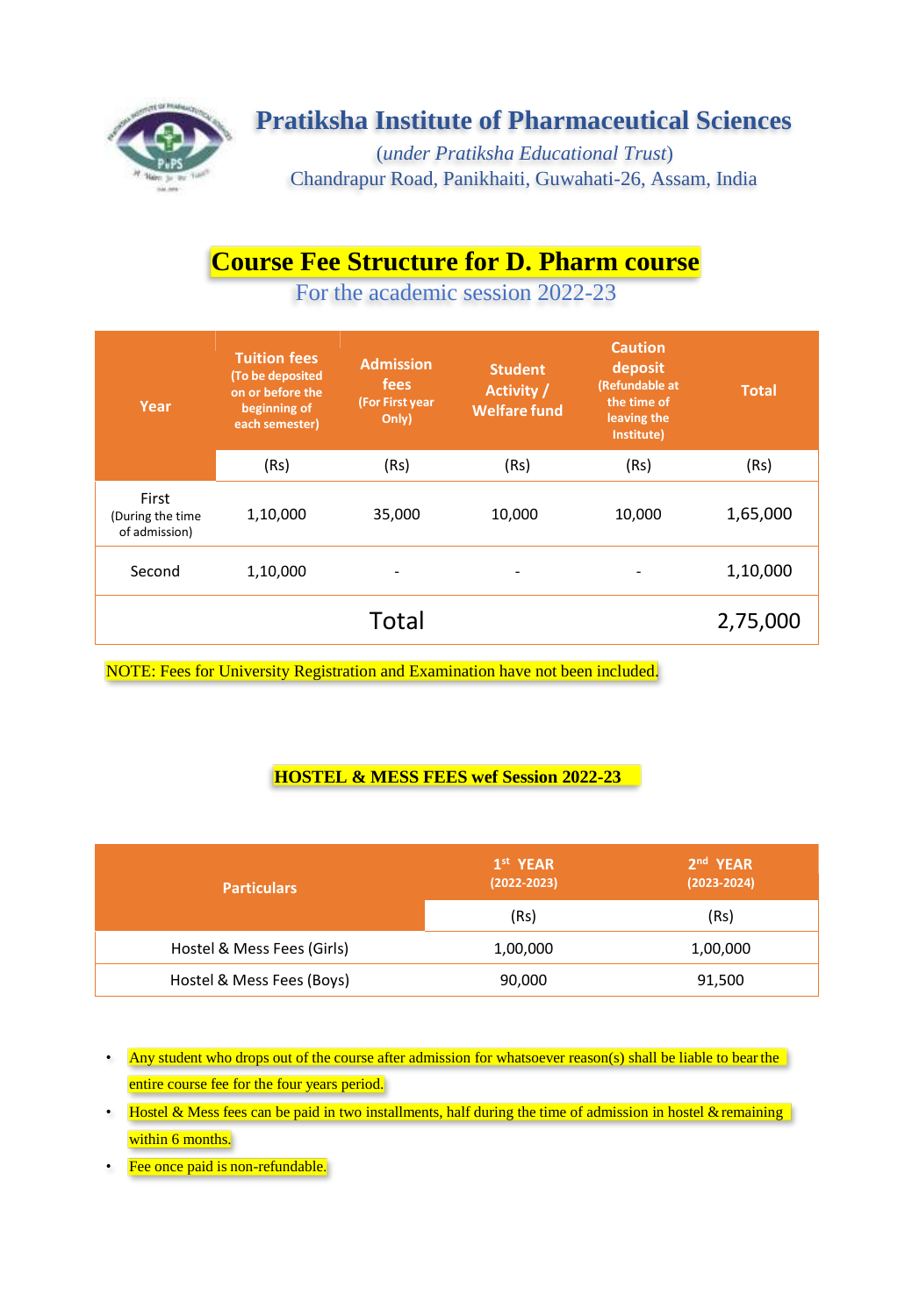

# **Pratiksha Institute of Pharmaceutical Sciences**

(*under Pratiksha Educational Trust*) Chandrapur Road, Panikhaiti, Guwahati-26, Assam, India

# **Course Fee Structure for D. Pharm course**

For the academic session 2022-23

| Year                                       | <b>Tuition fees</b><br>(To be deposited<br>on or before the<br>beginning of<br>each semester) | <b>Admission</b><br>fees<br>(For First year<br>Only) | <b>Student</b><br>Activity /<br><b>Welfare fund</b> | <b>Caution</b><br>deposit<br>(Refundable at<br>the time of<br>leaving the<br>Institute) | <b>Total</b> |
|--------------------------------------------|-----------------------------------------------------------------------------------------------|------------------------------------------------------|-----------------------------------------------------|-----------------------------------------------------------------------------------------|--------------|
|                                            | (Rs)                                                                                          | (Rs)                                                 | (Rs)                                                | (Rs)                                                                                    | (Rs)         |
| First<br>(During the time<br>of admission) | 1,10,000                                                                                      | 35,000                                               | 10,000                                              | 10,000                                                                                  | 1,65,000     |
| Second                                     | 1,10,000                                                                                      | ۰                                                    | -                                                   |                                                                                         | 1,10,000     |
|                                            |                                                                                               | Total                                                |                                                     |                                                                                         | 2,75,000     |

NOTE: Fees for University Registration and Examination have not been included.

#### **HOSTEL & MESS FEES wef Session 2022-23**

| <b>Particulars</b>         | 1 <sup>st</sup> YEAR<br>$(2022 - 2023)$ | $2nd$ YEAR<br>$(2023 - 2024)$ |
|----------------------------|-----------------------------------------|-------------------------------|
|                            | (Rs)                                    | (Rs)                          |
| Hostel & Mess Fees (Girls) | 1,00,000                                | 1,00,000                      |
| Hostel & Mess Fees (Boys)  | 90,000                                  | 91,500                        |

- Any student who drops out of the course after admission for whatsoever reason(s) shall be liable to bear the entire course fee for the four years period.
- Hostel & Mess fees can be paid in two installments, half during the time of admission in hostel & remaining within 6 months.
- Fee once paid is non-refundable.